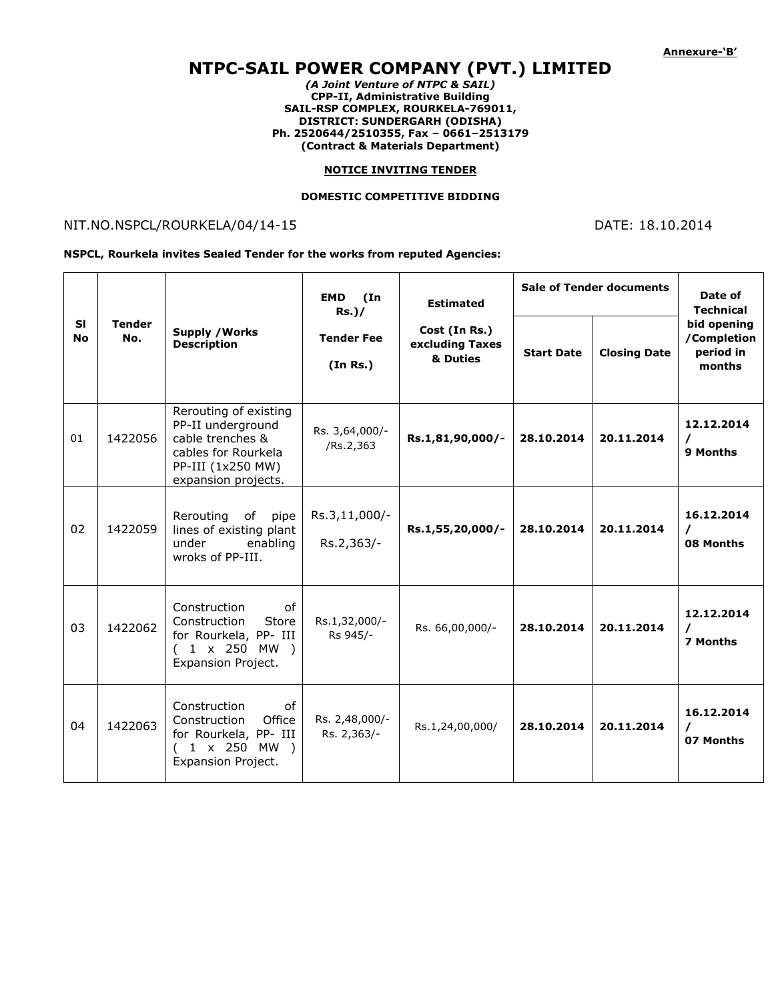# **NTPC-SAIL POWER COMPANY (PVT.) LIMITED**

*(A Joint Venture of NTPC & SAIL)* **CPP-II, Administrative Building SAIL-RSP COMPLEX, ROURKELA-769011, DISTRICT: SUNDERGARH (ODISHA) Ph. 2520644/2510355, Fax – 0661–2513179 (Contract & Materials Department)**

#### **NOTICE INVITING TENDER**

#### **DOMESTIC COMPETITIVE BIDDING**

## NIT.NO.NSPCL/ROURKELA/04/14-15 DATE: 18.10.2014

#### **NSPCL, Rourkela invites Sealed Tender for the works from reputed Agencies:**

| <b>SI</b><br><b>No</b> | <b>Tender</b><br>No. | <b>Supply / Works</b><br><b>Description</b>                                                                                       | <b>EMD</b><br>(In<br>$Rs.$ )/ | <b>Estimated</b>                             | <b>Sale of Tender documents</b> |                     | Date of<br><b>Technical</b>                       |
|------------------------|----------------------|-----------------------------------------------------------------------------------------------------------------------------------|-------------------------------|----------------------------------------------|---------------------------------|---------------------|---------------------------------------------------|
|                        |                      |                                                                                                                                   | <b>Tender Fee</b><br>(In Rs.) | Cost (In Rs.)<br>excluding Taxes<br>& Duties | <b>Start Date</b>               | <b>Closing Date</b> | bid opening<br>/Completion<br>period in<br>months |
| 01                     | 1422056              | Rerouting of existing<br>PP-II underground<br>cable trenches &<br>cables for Rourkela<br>PP-III (1x250 MW)<br>expansion projects. | Rs. 3,64,000/-<br>/Rs.2,363   | Rs.1,81,90,000/-                             | 28.10.2014                      | 20.11.2014          | 12.12.2014<br>$\prime$<br>9 Months                |
| 02                     | 1422059              | Rerouting<br>of<br>pipe<br>lines of existing plant<br>under<br>enabling<br>wroks of PP-III.                                       | Rs.3,11,000/-<br>Rs.2,363/-   | Rs.1,55,20,000/-                             | 28.10.2014                      | 20.11.2014          | 16.12.2014<br>$\prime$<br>08 Months               |
| 03                     | 1422062              | Construction<br>of<br>Construction<br>Store<br>for Rourkela, PP- III<br>$(1 \times 250 \text{ MW})$<br>Expansion Project.         | Rs.1,32,000/-<br>Rs 945/-     | Rs. 66,00,000/-                              | 28.10.2014                      | 20.11.2014          | 12.12.2014<br>$\prime$<br>7 Months                |
| 04                     | 1422063              | Construction<br>0f<br>Construction<br>Office<br>for Rourkela, PP- III<br>1 x 250 MW )<br>Expansion Project.                       | Rs. 2,48,000/-<br>Rs. 2,363/- | Rs.1,24,00,000/                              | 28.10.2014                      | 20.11.2014          | 16.12.2014<br>$\prime$<br>07 Months               |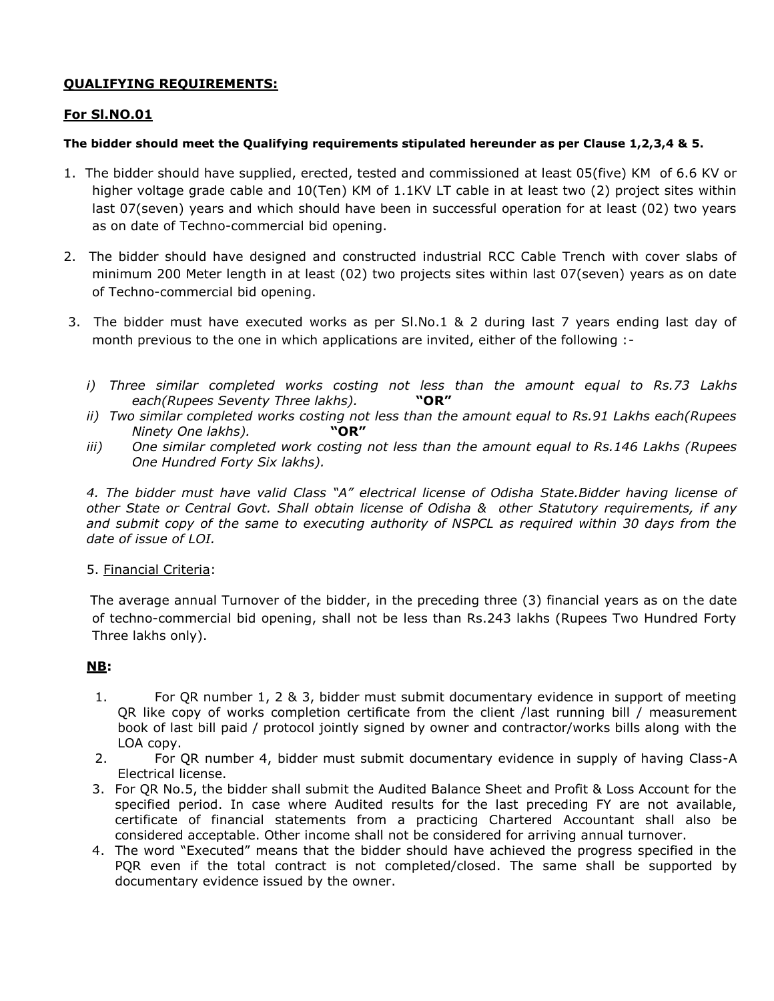# **QUALIFYING REQUIREMENTS:**

# **For Sl.NO.01**

## **The bidder should meet the Qualifying requirements stipulated hereunder as per Clause 1,2,3,4 & 5.**

- 1. The bidder should have supplied, erected, tested and commissioned at least 05(five) KM of 6.6 KV or higher voltage grade cable and 10(Ten) KM of 1.1KV LT cable in at least two (2) project sites within last 07(seven) years and which should have been in successful operation for at least (02) two years as on date of Techno-commercial bid opening.
- 2. The bidder should have designed and constructed industrial RCC Cable Trench with cover slabs of minimum 200 Meter length in at least (02) two projects sites within last 07(seven) years as on date of Techno-commercial bid opening.
- 3. The bidder must have executed works as per Sl.No.1 & 2 during last 7 years ending last day of month previous to the one in which applications are invited, either of the following :
	- *i) Three similar completed works costing not less than the amount equal to Rs.73 Lakhs each(Rupees Seventy Three lakhs).* **"OR"**
	- *ii) Two similar completed works costing not less than the amount equal to Rs.91 Lakhs each(Rupees Ninety One lakhs).* **"OR"**
	- *iii) One similar completed work costing not less than the amount equal to Rs.146 Lakhs (Rupees One Hundred Forty Six lakhs).*

*4. The bidder must have valid Class "A" electrical license of Odisha State.Bidder having license of other State or Central Govt. Shall obtain license of Odisha & other Statutory requirements, if any and submit copy of the same to executing authority of NSPCL as required within 30 days from the date of issue of LOI.*

### 5. Financial Criteria:

 The average annual Turnover of the bidder, in the preceding three (3) financial years as on the date of techno-commercial bid opening, shall not be less than Rs.243 lakhs (Rupees Two Hundred Forty Three lakhs only).

# **NB:**

- 1. For QR number 1, 2 & 3, bidder must submit documentary evidence in support of meeting QR like copy of works completion certificate from the client /last running bill / measurement book of last bill paid / protocol jointly signed by owner and contractor/works bills along with the LOA copy.
- 2. For QR number 4, bidder must submit documentary evidence in supply of having Class-A Electrical license.
- 3. For QR No.5, the bidder shall submit the Audited Balance Sheet and Profit & Loss Account for the specified period. In case where Audited results for the last preceding FY are not available, certificate of financial statements from a practicing Chartered Accountant shall also be considered acceptable. Other income shall not be considered for arriving annual turnover.
- 4. The word "Executed" means that the bidder should have achieved the progress specified in the PQR even if the total contract is not completed/closed. The same shall be supported by documentary evidence issued by the owner.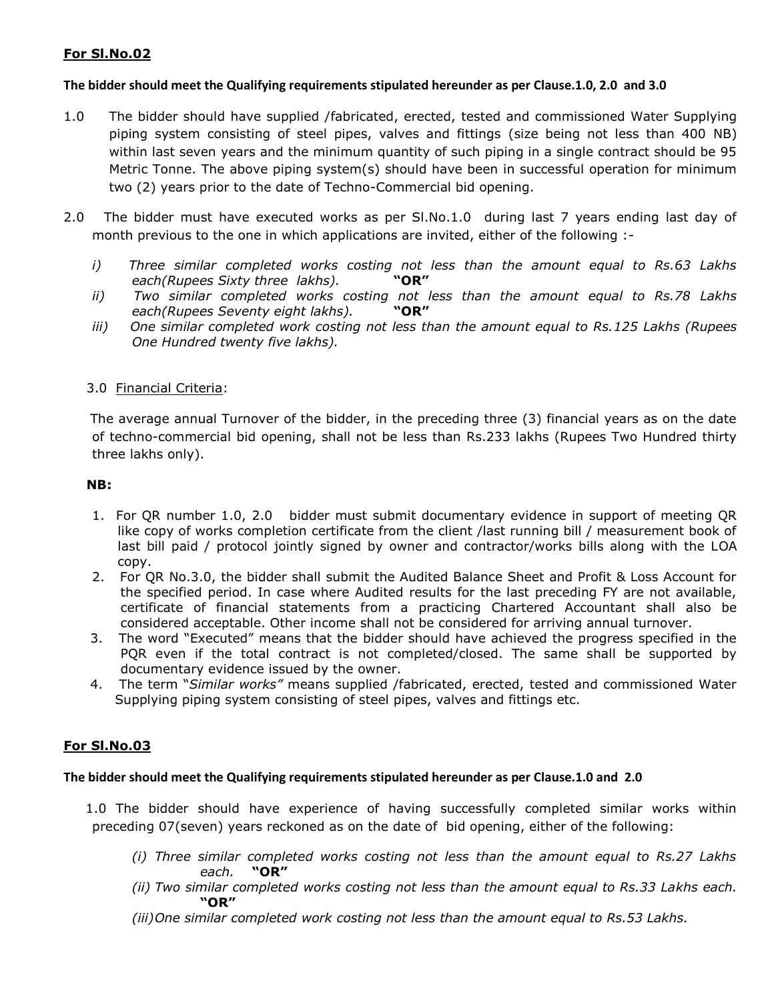# **For Sl.No.02**

### **The bidder should meet the Qualifying requirements stipulated hereunder as per Clause.1.0, 2.0 and 3.0**

- 1.0 The bidder should have supplied /fabricated, erected, tested and commissioned Water Supplying piping system consisting of steel pipes, valves and fittings (size being not less than 400 NB) within last seven years and the minimum quantity of such piping in a single contract should be 95 Metric Tonne. The above piping system(s) should have been in successful operation for minimum two (2) years prior to the date of Techno-Commercial bid opening.
- 2.0 The bidder must have executed works as per SI.No.1.0 during last 7 years ending last day of month previous to the one in which applications are invited, either of the following :
	- *i) Three similar completed works costing not less than the amount equal to Rs.63 Lakhs each(Rupees Sixty three lakhs).* **"OR"**
	- *ii) Two similar completed works costing not less than the amount equal to Rs.78 Lakhs each(Rupees Seventy eight lakhs).* **"OR"**
	- *iii) One similar completed work costing not less than the amount equal to Rs.125 Lakhs (Rupees One Hundred twenty five lakhs).*

#### 3.0 Financial Criteria:

 The average annual Turnover of the bidder, in the preceding three (3) financial years as on the date of techno-commercial bid opening, shall not be less than Rs.233 lakhs (Rupees Two Hundred thirty three lakhs only).

#### **NB:**

- 1. For QR number 1.0, 2.0 bidder must submit documentary evidence in support of meeting QR like copy of works completion certificate from the client /last running bill / measurement book of last bill paid / protocol jointly signed by owner and contractor/works bills along with the LOA copy.
- 2. For QR No.3.0, the bidder shall submit the Audited Balance Sheet and Profit & Loss Account for the specified period. In case where Audited results for the last preceding FY are not available, certificate of financial statements from a practicing Chartered Accountant shall also be considered acceptable. Other income shall not be considered for arriving annual turnover.
- 3. The word "Executed" means that the bidder should have achieved the progress specified in the PQR even if the total contract is not completed/closed. The same shall be supported by documentary evidence issued by the owner.
- 4. The term "*Similar works"* means supplied /fabricated, erected, tested and commissioned Water Supplying piping system consisting of steel pipes, valves and fittings etc.

#### **For Sl.No.03**

#### **The bidder should meet the Qualifying requirements stipulated hereunder as per Clause.1.0 and 2.0**

 1.0 The bidder should have experience of having successfully completed similar works within preceding 07(seven) years reckoned as on the date of bid opening, either of the following:

- *(i) Three similar completed works costing not less than the amount equal to Rs.27 Lakhs each.* **"OR"**
- *(ii) Two similar completed works costing not less than the amount equal to Rs.33 Lakhs each.*  **"OR"**
- *(iii)One similar completed work costing not less than the amount equal to Rs.53 Lakhs.*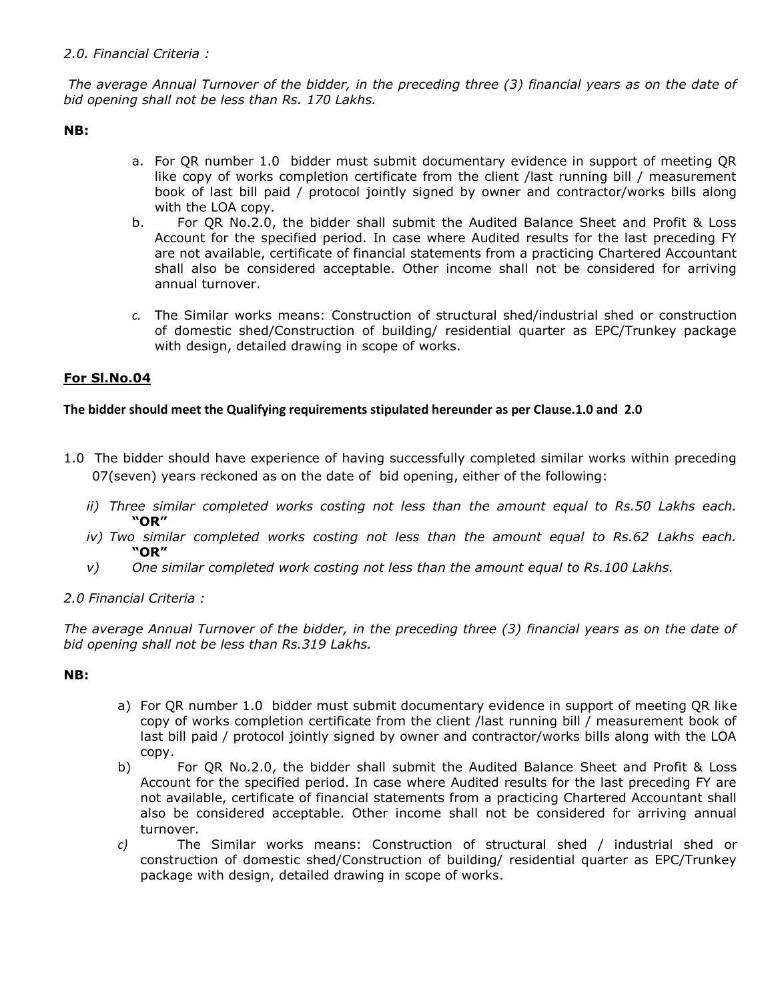## *2.0. Financial Criteria :*

*The average Annual Turnover of the bidder, in the preceding three (3) financial years as on the date of bid opening shall not be less than Rs. 170 Lakhs.*

**NB:**

- a. For QR number 1.0 bidder must submit documentary evidence in support of meeting QR like copy of works completion certificate from the client /last running bill / measurement book of last bill paid / protocol jointly signed by owner and contractor/works bills along with the LOA copy.
- b. For QR No.2.0, the bidder shall submit the Audited Balance Sheet and Profit & Loss Account for the specified period. In case where Audited results for the last preceding FY are not available, certificate of financial statements from a practicing Chartered Accountant shall also be considered acceptable. Other income shall not be considered for arriving annual turnover.
- *c.* The Similar works means: Construction of structural shed/industrial shed or construction of domestic shed/Construction of building/ residential quarter as EPC/Trunkey package with design, detailed drawing in scope of works.

# **For Sl.No.04**

### **The bidder should meet the Qualifying requirements stipulated hereunder as per Clause.1.0 and 2.0**

- 1.0 The bidder should have experience of having successfully completed similar works within preceding 07(seven) years reckoned as on the date of bid opening, either of the following:
	- *ii) Three similar completed works costing not less than the amount equal to Rs.50 Lakhs each.*  **"OR"**
	- *iv) Two similar completed works costing not less than the amount equal to Rs.62 Lakhs each.*  **"OR"**
	- *v) One similar completed work costing not less than the amount equal to Rs.100 Lakhs.*
- *2.0 Financial Criteria :*

*The average Annual Turnover of the bidder, in the preceding three (3) financial years as on the date of bid opening shall not be less than Rs.319 Lakhs.*

### **NB:**

- a) For QR number 1.0 bidder must submit documentary evidence in support of meeting QR like copy of works completion certificate from the client /last running bill / measurement book of last bill paid / protocol jointly signed by owner and contractor/works bills along with the LOA copy.
- b) For QR No.2.0, the bidder shall submit the Audited Balance Sheet and Profit & Loss Account for the specified period. In case where Audited results for the last preceding FY are not available, certificate of financial statements from a practicing Chartered Accountant shall also be considered acceptable. Other income shall not be considered for arriving annual turnover.
- *c)* The Similar works means: Construction of structural shed / industrial shed or construction of domestic shed/Construction of building/ residential quarter as EPC/Trunkey package with design, detailed drawing in scope of works.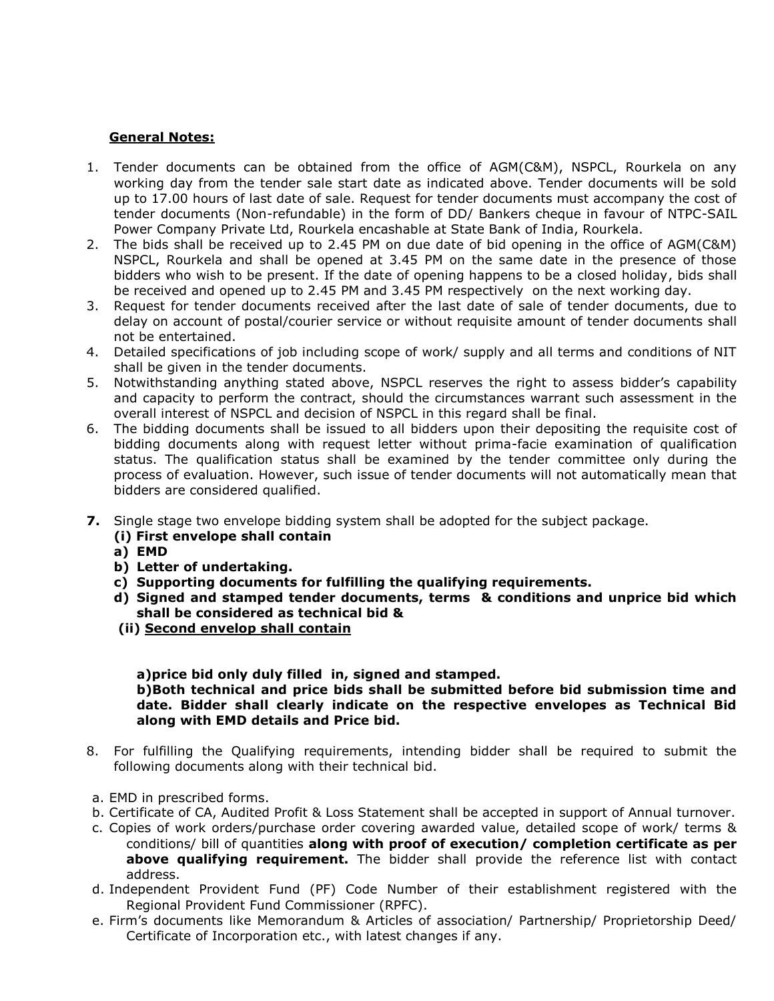## **General Notes:**

- 1. Tender documents can be obtained from the office of AGM(C&M), NSPCL, Rourkela on any working day from the tender sale start date as indicated above. Tender documents will be sold up to 17.00 hours of last date of sale. Request for tender documents must accompany the cost of tender documents (Non-refundable) in the form of DD/ Bankers cheque in favour of NTPC-SAIL Power Company Private Ltd, Rourkela encashable at State Bank of India, Rourkela.
- 2. The bids shall be received up to 2.45 PM on due date of bid opening in the office of AGM(C&M) NSPCL, Rourkela and shall be opened at 3.45 PM on the same date in the presence of those bidders who wish to be present. If the date of opening happens to be a closed holiday, bids shall be received and opened up to 2.45 PM and 3.45 PM respectively on the next working day.
- 3. Request for tender documents received after the last date of sale of tender documents, due to delay on account of postal/courier service or without requisite amount of tender documents shall not be entertained.
- 4. Detailed specifications of job including scope of work/ supply and all terms and conditions of NIT shall be given in the tender documents.
- 5. Notwithstanding anything stated above, NSPCL reserves the right to assess bidder's capability and capacity to perform the contract, should the circumstances warrant such assessment in the overall interest of NSPCL and decision of NSPCL in this regard shall be final.
- 6. The bidding documents shall be issued to all bidders upon their depositing the requisite cost of bidding documents along with request letter without prima-facie examination of qualification status. The qualification status shall be examined by the tender committee only during the process of evaluation. However, such issue of tender documents will not automatically mean that bidders are considered qualified.
- **7.** Single stage two envelope bidding system shall be adopted for the subject package.
	- **(i) First envelope shall contain**
	- **a) EMD**
	- **b) Letter of undertaking.**
	- **c) Supporting documents for fulfilling the qualifying requirements.**
	- **d) Signed and stamped tender documents, terms & conditions and unprice bid which shall be considered as technical bid &**
	- **(ii) Second envelop shall contain**

**a)price bid only duly filled in, signed and stamped.** 

**b)Both technical and price bids shall be submitted before bid submission time and date. Bidder shall clearly indicate on the respective envelopes as Technical Bid along with EMD details and Price bid.**

- 8. For fulfilling the Qualifying requirements, intending bidder shall be required to submit the following documents along with their technical bid.
- a. EMD in prescribed forms.
- b. Certificate of CA, Audited Profit & Loss Statement shall be accepted in support of Annual turnover.
- c. Copies of work orders/purchase order covering awarded value, detailed scope of work/ terms & conditions/ bill of quantities **along with proof of execution/ completion certificate as per above qualifying requirement.** The bidder shall provide the reference list with contact address.
- d. Independent Provident Fund (PF) Code Number of their establishment registered with the Regional Provident Fund Commissioner (RPFC).
- e. Firm's documents like Memorandum & Articles of association/ Partnership/ Proprietorship Deed/ Certificate of Incorporation etc., with latest changes if any.